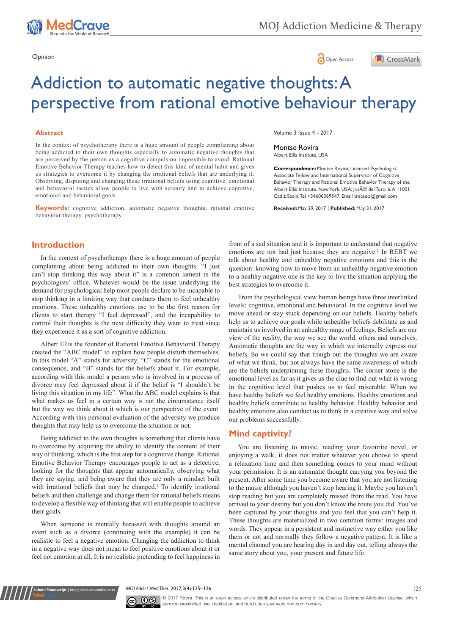





# Addiction to automatic negative thoughts: A perspective from rational emotive behaviour therapy

#### **Abstract**

In the context of psychotherapy there is a huge amount of people complaining about being addicted to their own thoughts especially to automatic negative thoughts that are perceived by the person as a cognitive compulsion impossible to avoid. Rational Emotive Behavior Therapy teaches how to detect this kind of mental habit and gives us strategies to overcome it by changing the irrational beliefs that are underlying it. Observing, disputing and changing these irrational beliefs using cognitive, emotional and behavioral tactics allow people to live with serenity and to achieve cognitive, emotional and behavioral goals.

**Keywords:** cognitive addiction, automatic negative thoughts, rational emotive behaviour therapy, psychotherapy

## **Introduction**

In the context of psychotherapy there is a huge amount of people complaining about being addicted to their own thoughts. "I just can't stop thinking this way about it" is a common lament in the psychologists' office. Whatever would be the issue underlying the demand for psychological help most people declare to be incapable to stop thinking in a limiting way that conducts them to feel unhealthy emotions. These unhealthy emotions use to be the first reason for clients to start therapy "I feel depressed", and the incapability to control their thoughts is the next difficulty they want to treat since they experience it as a sort of cognitive addiction.

Albert Ellis the founder of Rational Emotive Behavioral Therapy created the "ABC model" to explain how people disturb themselves. In this model "A" stands for adversity, "C" stands for the emotional consequence, and "B" stands for the beliefs about it. For example, according with this model a person who is involved in a process of divorce may feel depressed about it if the belief is "I shouldn't be living this situation in my life". What the ABC model explains is that what makes us feel in a certain way is not the circumstance itself but the way we think about it which is our perspective of the event. According with this personal evaluation of the adversity we produce thoughts that may help us to overcome the situation or not.

Being addicted to the own thoughts is something that clients have to overcome by acquiring the ability to identify the content of their way of thinking, which is the first step for a cognitive change. Rational Emotive Behavior Therapy encourages people to act as a detective, looking for the thoughts that appear automatically, observing what they are saying, and being aware that they are only a mindset built with irrational beliefs that may be changed.<sup>1</sup> To identify irrational beliefs and then challenge and change them for rational beliefs means to develop a flexible way of thinking that will enable people to achieve their goals.

When someone is mentally harassed with thoughts around an event such as a divorce (continuing with the example) it can be realistic to feel a negative emotion. Changing the addiction to think in a negative way does not mean to feel positive emotions about it or feel not emotion at all. It is no realistic pretending to feel happiness in

**nit Manuscript** | http://medcraveonline.

Volume 3 Issue 4 - 2017

Montse Rovira Albert Ellis Institute, USA

**Correspondence:** Montse Rovira, Licensed Psychologist, Associate Fellow and International Supervisor of Cognitive Behavior Therapy and Rational Emotive Behavior Therapy of the Albert Ellis Institute, New York, USA, José del Toro, 6, A 11001 Cadiz Spain, Tel +34606369547, Email trecseo@gmail.com

**Received:** May 29, 2017 | **Published:** May 31, 2017

front of a sad situation and it is important to understand that negative emotions are not bad just because they are negative.<sup>2</sup> In REBT we talk about healthy and unhealthy negative emotions and this is the question: knowing how to move from an unhealthy negative emotion to a healthy negative one is the key to live the situation applying the best strategies to overcome it.

From the psychological view human beings have three interlinked levels: cognitive, emotional and behavioral. In the cognitive level we move ahead or stay stuck depending on our beliefs. Healthy beliefs help us to achieve our goals while unhealthy beliefs debilitate us and maintain us involved in an unhealthy range of feelings. Beliefs are our view of the reality, the way we see the world, others and ourselves. Automatic thoughts are the way in which we internally express our beliefs. So we could say that trough out the thoughts we are aware of what we think, but not always have the same awareness of which are the beliefs underpinning these thoughts. The corner stone is the emotional level as far as it gives us the clue to find out what is wrong in the cognitive level that pushes us to feel miserable. When we have healthy beliefs we feel healthy emotions. Healthy emotions and healthy beliefs contribute to healthy behavior. Healthy behavior and healthy emotions also conduct us to think in a creative way and solve our problems successfully.

## **Mind captivity?**

You are listening to music, reading your favourite novel, or enjoying a walk, it does not matter whatever you choose to spend a relaxation time and then something comes to your mind without your permission. It is an automatic thought carrying you beyond the present. After some time you become aware that you are not listening to the music although you haven't stop hearing it. Maybe you haven't stop reading but you are completely missed from the read. You have arrived to your destiny but you don't know the route you did. You've been captured by your thoughts and you feel that you can't help it. These thoughts are materialized in two common forms: images and words. They appear in a persistent and instinctive way either you like them or not and normally they follow a negative pattern. It is like a mental channel you are hearing day in and day out, telling always the same story about you, your present and future life.

*MOJ Addict Med Ther.* 2017;3(4):125‒126 125



© 2017 Rovira. This is an open access article distributed under the terms of the [Creative Commons Attribution License,](https://creativecommons.org/licenses/by-nc/4.0/) which permits unrestricted use, distribution, and build upon your work non-commercially.